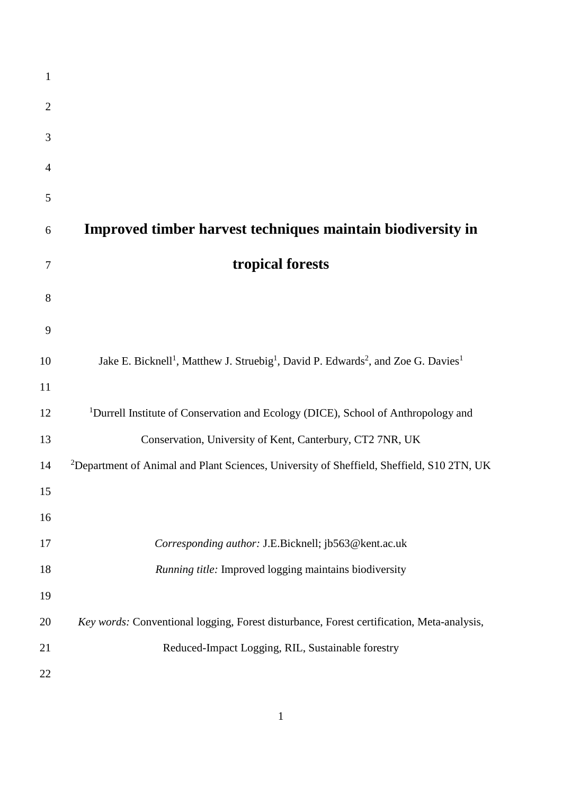| $\mathbf{1}$   |                                                                                                                                   |
|----------------|-----------------------------------------------------------------------------------------------------------------------------------|
| $\overline{2}$ |                                                                                                                                   |
| 3              |                                                                                                                                   |
| $\overline{4}$ |                                                                                                                                   |
| 5              |                                                                                                                                   |
| 6              | Improved timber harvest techniques maintain biodiversity in                                                                       |
| 7              | tropical forests                                                                                                                  |
| 8              |                                                                                                                                   |
| 9              |                                                                                                                                   |
| 10             | Jake E. Bicknell <sup>1</sup> , Matthew J. Struebig <sup>1</sup> , David P. Edwards <sup>2</sup> , and Zoe G. Davies <sup>1</sup> |
| 11             |                                                                                                                                   |
| 12             | <sup>1</sup> Durrell Institute of Conservation and Ecology (DICE), School of Anthropology and                                     |
| 13             | Conservation, University of Kent, Canterbury, CT2 7NR, UK                                                                         |
| 14             | <sup>2</sup> Department of Animal and Plant Sciences, University of Sheffield, Sheffield, S10 2TN, UK                             |
| 15             |                                                                                                                                   |
| 16             |                                                                                                                                   |
| 17             | Corresponding author: J.E.Bicknell; jb563@kent.ac.uk                                                                              |
| 18             | Running title: Improved logging maintains biodiversity                                                                            |
| 19             |                                                                                                                                   |
| 20             | Key words: Conventional logging, Forest disturbance, Forest certification, Meta-analysis,                                         |
| 21             | Reduced-Impact Logging, RIL, Sustainable forestry                                                                                 |
| 22             |                                                                                                                                   |
|                |                                                                                                                                   |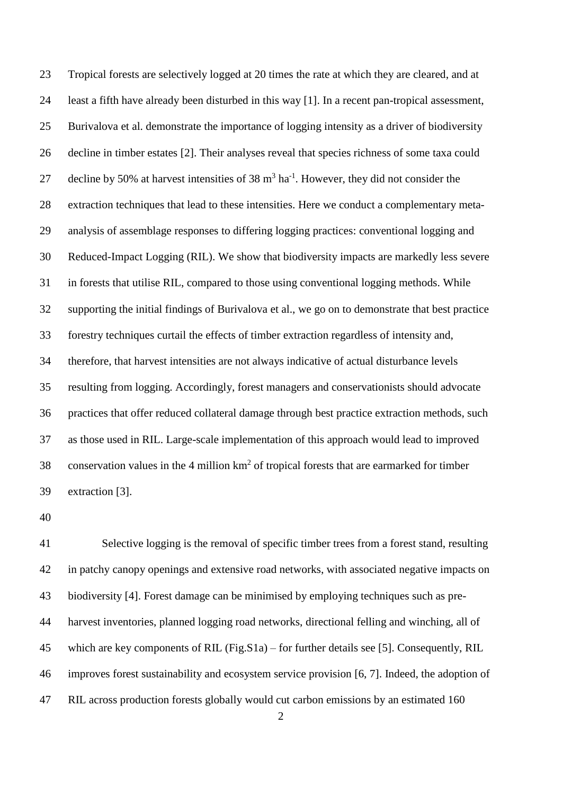Tropical forests are selectively logged at 20 times the rate at which they are cleared, and at least a fifth have already been disturbed in this way [1]. In a recent pan-tropical assessment, Burivalova et al. demonstrate the importance of logging intensity as a driver of biodiversity decline in timber estates [2]. Their analyses reveal that species richness of some taxa could 27 decline by 50% at harvest intensities of 38  $m<sup>3</sup>$  ha<sup>-1</sup>. However, they did not consider the extraction techniques that lead to these intensities. Here we conduct a complementary meta- analysis of assemblage responses to differing logging practices: conventional logging and Reduced-Impact Logging (RIL). We show that biodiversity impacts are markedly less severe in forests that utilise RIL, compared to those using conventional logging methods. While supporting the initial findings of Burivalova et al., we go on to demonstrate that best practice forestry techniques curtail the effects of timber extraction regardless of intensity and, therefore, that harvest intensities are not always indicative of actual disturbance levels resulting from logging. Accordingly, forest managers and conservationists should advocate practices that offer reduced collateral damage through best practice extraction methods, such as those used in RIL. Large-scale implementation of this approach would lead to improved 38 conservation values in the 4 million  $km^2$  of tropical forests that are earmarked for timber extraction [3].

 Selective logging is the removal of specific timber trees from a forest stand, resulting in patchy canopy openings and extensive road networks, with associated negative impacts on biodiversity [4]. Forest damage can be minimised by employing techniques such as pre- harvest inventories, planned logging road networks, directional felling and winching, all of which are key components of RIL (Fig.S1a) – for further details see [5]. Consequently, RIL improves forest sustainability and ecosystem service provision [6, 7]. Indeed, the adoption of RIL across production forests globally would cut carbon emissions by an estimated 160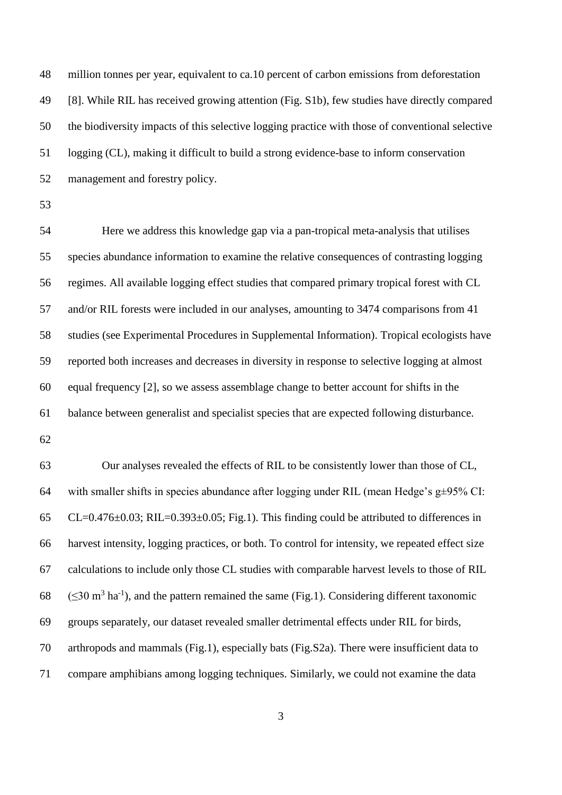million tonnes per year, equivalent to ca.10 percent of carbon emissions from deforestation [8]. While RIL has received growing attention (Fig. S1b), few studies have directly compared the biodiversity impacts of this selective logging practice with those of conventional selective logging (CL), making it difficult to build a strong evidence-base to inform conservation management and forestry policy.

 Here we address this knowledge gap via a pan-tropical meta-analysis that utilises species abundance information to examine the relative consequences of contrasting logging regimes. All available logging effect studies that compared primary tropical forest with CL and/or RIL forests were included in our analyses, amounting to 3474 comparisons from 41 studies (see Experimental Procedures in Supplemental Information). Tropical ecologists have reported both increases and decreases in diversity in response to selective logging at almost equal frequency [2], so we assess assemblage change to better account for shifts in the balance between generalist and specialist species that are expected following disturbance. 

 Our analyses revealed the effects of RIL to be consistently lower than those of CL, 64 with smaller shifts in species abundance after logging under RIL (mean Hedge's  $g\pm95\%$  CI: 65 CL=0.476 $\pm$ 0.03; RIL=0.393 $\pm$ 0.05; Fig.1). This finding could be attributed to differences in harvest intensity, logging practices, or both. To control for intensity, we repeated effect size calculations to include only those CL studies with comparable harvest levels to those of RIL 68 ( $\leq$ 30 m<sup>3</sup> ha<sup>-1</sup>), and the pattern remained the same (Fig.1). Considering different taxonomic groups separately, our dataset revealed smaller detrimental effects under RIL for birds, arthropods and mammals (Fig.1), especially bats (Fig.S2a). There were insufficient data to compare amphibians among logging techniques. Similarly, we could not examine the data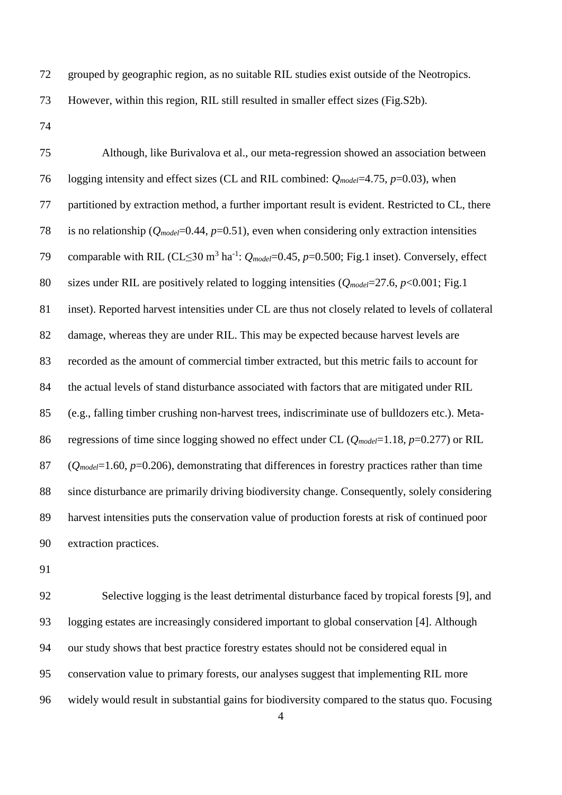grouped by geographic region, as no suitable RIL studies exist outside of the Neotropics.

However, within this region, RIL still resulted in smaller effect sizes (Fig.S2b).

 Although, like Burivalova et al., our meta-regression showed an association between logging intensity and effect sizes (CL and RIL combined: *Qmodel*=4.75, *p*=0.03), when partitioned by extraction method, a further important result is evident. Restricted to CL, there 78 is no relationship ( $Q_{model}$ =0.44,  $p$ =0.51), even when considering only extraction intensities 79 comparable with RIL (CL $\leq$ 30 m<sup>3</sup> ha<sup>-1</sup>:  $Q_{model}$ =0.45, *p*=0.500; Fig.1 inset). Conversely, effect sizes under RIL are positively related to logging intensities (*Qmodel*=27.6, *p*<0.001; Fig.1 inset). Reported harvest intensities under CL are thus not closely related to levels of collateral damage, whereas they are under RIL. This may be expected because harvest levels are recorded as the amount of commercial timber extracted, but this metric fails to account for the actual levels of stand disturbance associated with factors that are mitigated under RIL (e.g., falling timber crushing non-harvest trees, indiscriminate use of bulldozers etc.). Meta-86 regressions of time since logging showed no effect under CL ( $O_{model}=1.18$ ,  $p=0.277$ ) or RIL (*Qmodel*=1.60, *p*=0.206), demonstrating that differences in forestry practices rather than time since disturbance are primarily driving biodiversity change. Consequently, solely considering harvest intensities puts the conservation value of production forests at risk of continued poor extraction practices.

 Selective logging is the least detrimental disturbance faced by tropical forests [9], and logging estates are increasingly considered important to global conservation [4]. Although our study shows that best practice forestry estates should not be considered equal in conservation value to primary forests, our analyses suggest that implementing RIL more widely would result in substantial gains for biodiversity compared to the status quo. Focusing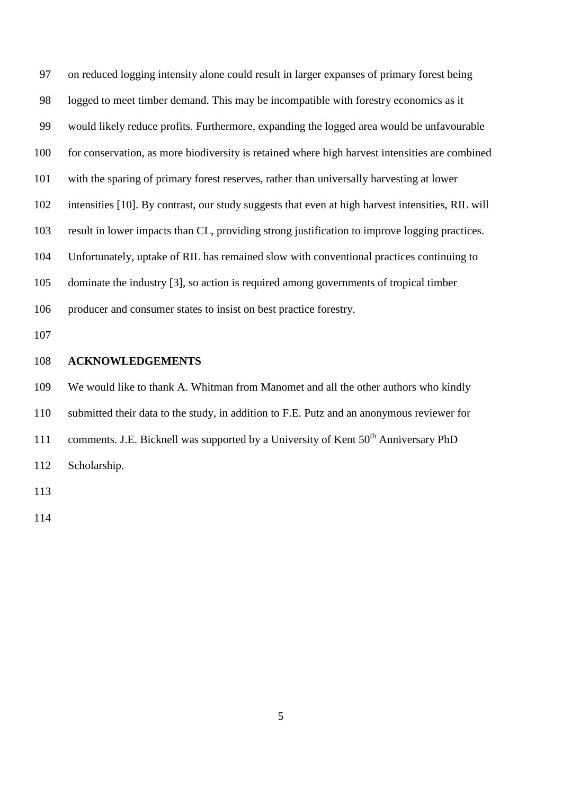on reduced logging intensity alone could result in larger expanses of primary forest being logged to meet timber demand. This may be incompatible with forestry economics as it would likely reduce profits. Furthermore, expanding the logged area would be unfavourable for conservation, as more biodiversity is retained where high harvest intensities are combined with the sparing of primary forest reserves, rather than universally harvesting at lower intensities [10]. By contrast, our study suggests that even at high harvest intensities, RIL will result in lower impacts than CL, providing strong justification to improve logging practices. Unfortunately, uptake of RIL has remained slow with conventional practices continuing to dominate the industry [3], so action is required among governments of tropical timber producer and consumer states to insist on best practice forestry.

# **ACKNOWLEDGEMENTS**

We would like to thank A. Whitman from Manomet and all the other authors who kindly

submitted their data to the study, in addition to F.E. Putz and an anonymous reviewer for

- 111 comments. J.E. Bicknell was supported by a University of Kent  $50<sup>th</sup>$  Anniversary PhD
- Scholarship.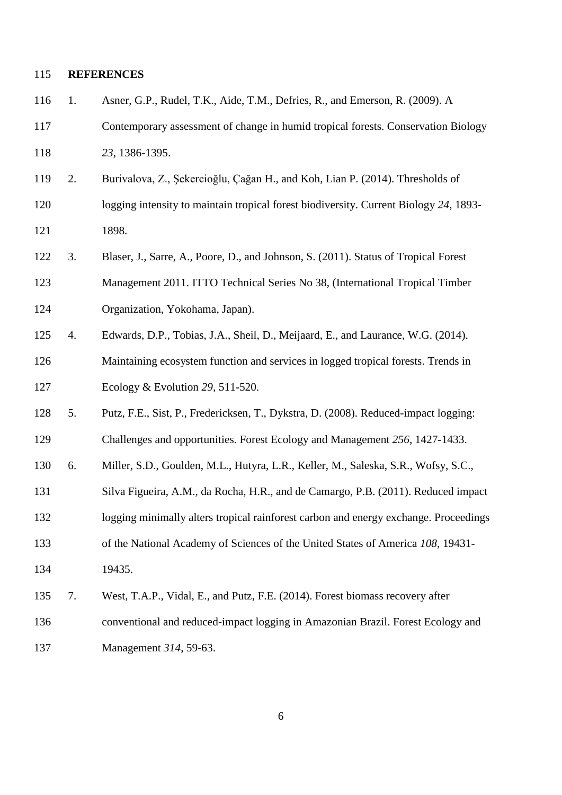# **REFERENCES**

| 116 | 1. | Asner, G.P., Rudel, T.K., Aide, T.M., Defries, R., and Emerson, R. (2009). A          |
|-----|----|---------------------------------------------------------------------------------------|
| 117 |    | Contemporary assessment of change in humid tropical forests. Conservation Biology     |
| 118 |    | 23, 1386-1395.                                                                        |
| 119 | 2. | Burivalova, Z., Şekercioğlu, Çağan H., and Koh, Lian P. (2014). Thresholds of         |
| 120 |    | logging intensity to maintain tropical forest biodiversity. Current Biology 24, 1893- |
| 121 |    | 1898.                                                                                 |
| 122 | 3. | Blaser, J., Sarre, A., Poore, D., and Johnson, S. (2011). Status of Tropical Forest   |
| 123 |    | Management 2011. ITTO Technical Series No 38, (International Tropical Timber          |
| 124 |    | Organization, Yokohama, Japan).                                                       |
| 125 | 4. | Edwards, D.P., Tobias, J.A., Sheil, D., Meijaard, E., and Laurance, W.G. (2014).      |
| 126 |    | Maintaining ecosystem function and services in logged tropical forests. Trends in     |
| 127 |    | Ecology & Evolution 29, 511-520.                                                      |
| 128 | 5. | Putz, F.E., Sist, P., Fredericksen, T., Dykstra, D. (2008). Reduced-impact logging:   |
| 129 |    | Challenges and opportunities. Forest Ecology and Management 256, 1427-1433.           |
| 130 | 6. | Miller, S.D., Goulden, M.L., Hutyra, L.R., Keller, M., Saleska, S.R., Wofsy, S.C.,    |
| 131 |    | Silva Figueira, A.M., da Rocha, H.R., and de Camargo, P.B. (2011). Reduced impact     |
| 132 |    | logging minimally alters tropical rainforest carbon and energy exchange. Proceedings  |
| 133 |    | of the National Academy of Sciences of the United States of America 108, 19431-       |
| 134 |    | 19435.                                                                                |
| 135 | 7. | West, T.A.P., Vidal, E., and Putz, F.E. (2014). Forest biomass recovery after         |
| 136 |    | conventional and reduced-impact logging in Amazonian Brazil. Forest Ecology and       |
| 137 |    | Management 314, 59-63.                                                                |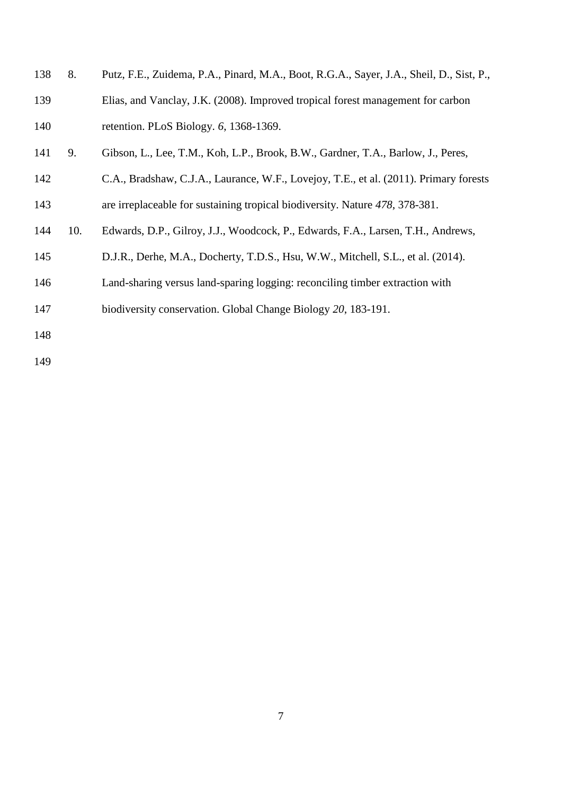- 8. Putz, F.E., Zuidema, P.A., Pinard, M.A., Boot, R.G.A., Sayer, J.A., Sheil, D., Sist, P., Elias, and Vanclay, J.K. (2008). Improved tropical forest management for carbon retention. PLoS Biology. *6*, 1368-1369.
- 9. Gibson, L., Lee, T.M., Koh, L.P., Brook, B.W., Gardner, T.A., Barlow, J., Peres,
- C.A., Bradshaw, C.J.A., Laurance, W.F., Lovejoy, T.E., et al. (2011). Primary forests are irreplaceable for sustaining tropical biodiversity. Nature *478*, 378-381.
- 10. Edwards, D.P., Gilroy, J.J., Woodcock, P., Edwards, F.A., Larsen, T.H., Andrews,
- D.J.R., Derhe, M.A., Docherty, T.D.S., Hsu, W.W., Mitchell, S.L., et al. (2014).
- Land-sharing versus land-sparing logging: reconciling timber extraction with
- biodiversity conservation. Global Change Biology *20*, 183-191.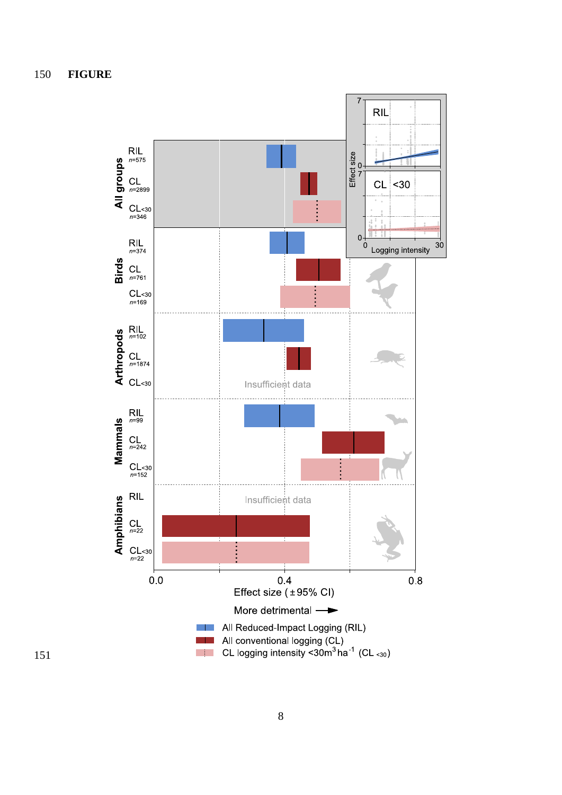**FIGURE**

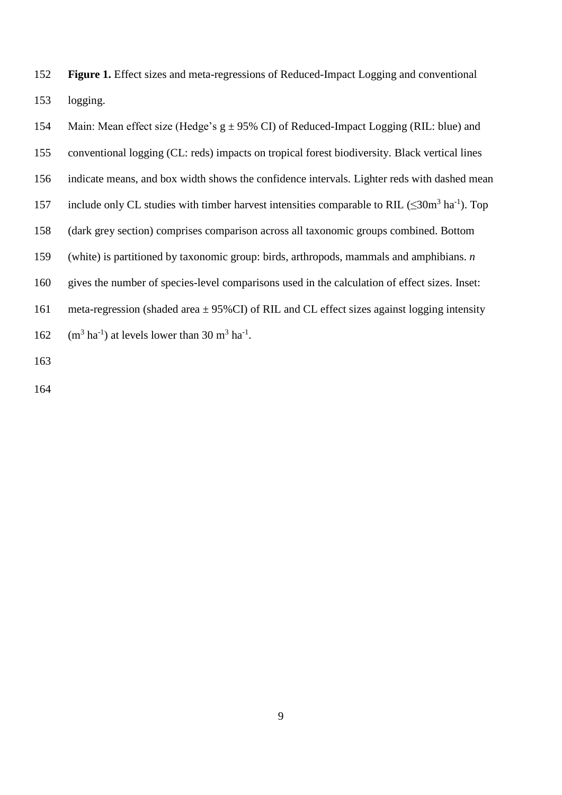**Figure 1.** Effect sizes and meta-regressions of Reduced-Impact Logging and conventional logging.

154 Main: Mean effect size (Hedge's  $g \pm 95\%$  CI) of Reduced-Impact Logging (RIL: blue) and conventional logging (CL: reds) impacts on tropical forest biodiversity. Black vertical lines indicate means, and box width shows the confidence intervals. Lighter reds with dashed mean 157 include only CL studies with timber harvest intensities comparable to RIL  $(\leq 30 \text{m}^3 \text{ ha}^{-1})$ . Top (dark grey section) comprises comparison across all taxonomic groups combined. Bottom (white) is partitioned by taxonomic group: birds, arthropods, mammals and amphibians. *n* gives the number of species-level comparisons used in the calculation of effect sizes. Inset: 161 meta-regression (shaded area  $\pm$  95%CI) of RIL and CL effect sizes against logging intensity 162  $(m^3 \text{ ha}^{-1})$  at levels lower than 30 m<sup>3</sup> ha<sup>-1</sup>.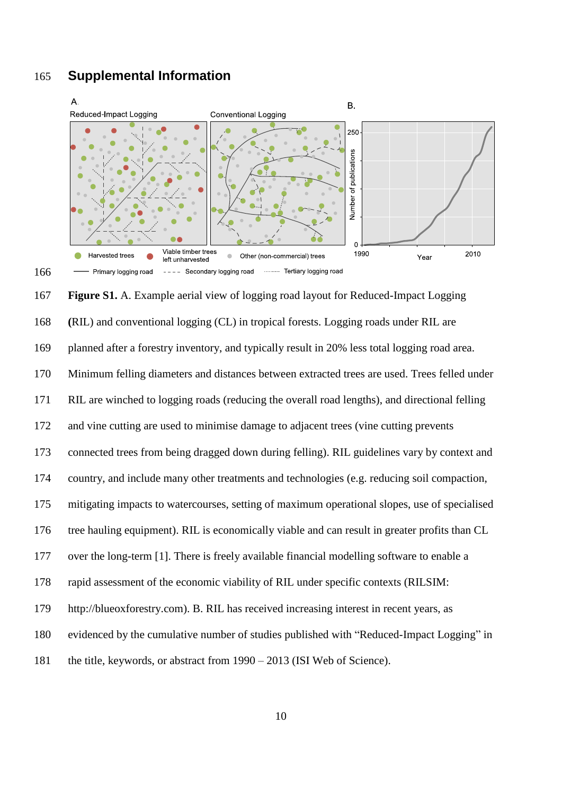# **Supplemental Information**



 **Figure S1.** A. Example aerial view of logging road layout for Reduced-Impact Logging **(**RIL) and conventional logging (CL) in tropical forests. Logging roads under RIL are planned after a forestry inventory, and typically result in 20% less total logging road area. Minimum felling diameters and distances between extracted trees are used. Trees felled under RIL are winched to logging roads (reducing the overall road lengths), and directional felling and vine cutting are used to minimise damage to adjacent trees (vine cutting prevents connected trees from being dragged down during felling). RIL guidelines vary by context and country, and include many other treatments and technologies (e.g. reducing soil compaction, mitigating impacts to watercourses, setting of maximum operational slopes, use of specialised tree hauling equipment). RIL is economically viable and can result in greater profits than CL over the long-term [1]. There is freely available financial modelling software to enable a rapid assessment of the economic viability of RIL under specific contexts (RILSIM: http://blueoxforestry.com). B. RIL has received increasing interest in recent years, as evidenced by the cumulative number of studies published with "Reduced-Impact Logging" in the title, keywords, or abstract from 1990 – 2013 (ISI Web of Science).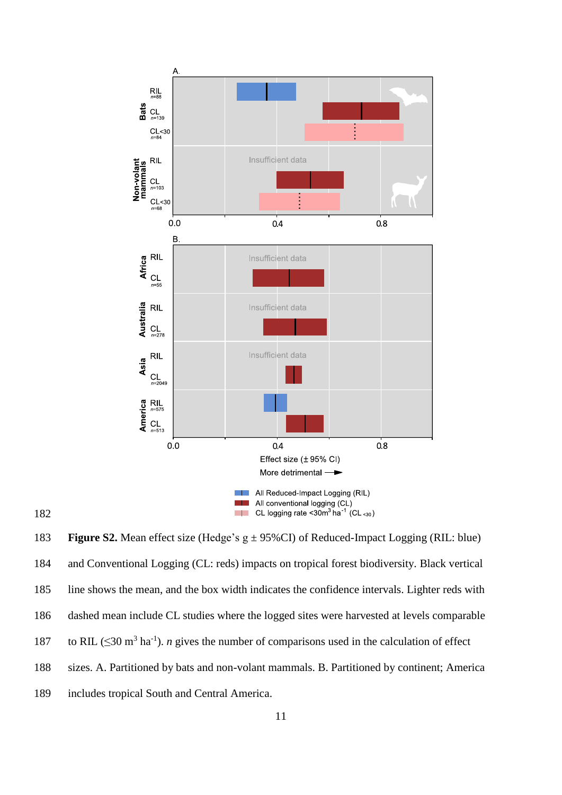

183 **Figure S2.** Mean effect size (Hedge's  $g \pm 95\%$ CI) of Reduced-Impact Logging (RIL: blue) and Conventional Logging (CL: reds) impacts on tropical forest biodiversity. Black vertical line shows the mean, and the box width indicates the confidence intervals. Lighter reds with dashed mean include CL studies where the logged sites were harvested at levels comparable 187 to RIL ( $\leq$ 30 m<sup>3</sup> ha<sup>-1</sup>). *n* gives the number of comparisons used in the calculation of effect sizes. A. Partitioned by bats and non-volant mammals. B. Partitioned by continent; America includes tropical South and Central America.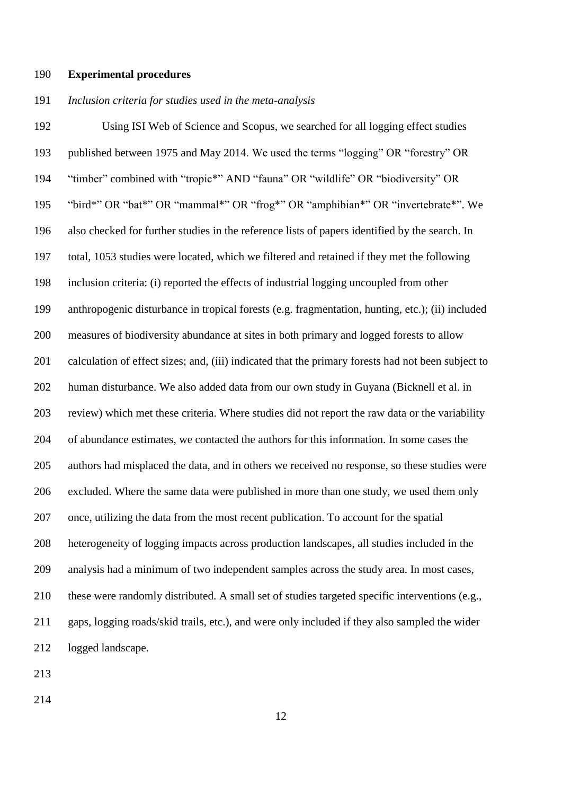#### **Experimental procedures**

### *Inclusion criteria for studies used in the meta-analysis*

 Using ISI Web of Science and Scopus, we searched for all logging effect studies published between 1975 and May 2014. We used the terms "logging" OR "forestry" OR "timber" combined with "tropic\*" AND "fauna" OR "wildlife" OR "biodiversity" OR "bird\*" OR "bat\*" OR "mammal\*" OR "frog\*" OR "amphibian\*" OR "invertebrate\*". We also checked for further studies in the reference lists of papers identified by the search. In total, 1053 studies were located, which we filtered and retained if they met the following inclusion criteria: (i) reported the effects of industrial logging uncoupled from other anthropogenic disturbance in tropical forests (e.g. fragmentation, hunting, etc.); (ii) included measures of biodiversity abundance at sites in both primary and logged forests to allow calculation of effect sizes; and, (iii) indicated that the primary forests had not been subject to human disturbance. We also added data from our own study in Guyana (Bicknell et al. in review) which met these criteria. Where studies did not report the raw data or the variability of abundance estimates, we contacted the authors for this information. In some cases the authors had misplaced the data, and in others we received no response, so these studies were excluded. Where the same data were published in more than one study, we used them only once, utilizing the data from the most recent publication. To account for the spatial heterogeneity of logging impacts across production landscapes, all studies included in the analysis had a minimum of two independent samples across the study area. In most cases, these were randomly distributed. A small set of studies targeted specific interventions (e.g., gaps, logging roads/skid trails, etc.), and were only included if they also sampled the wider logged landscape.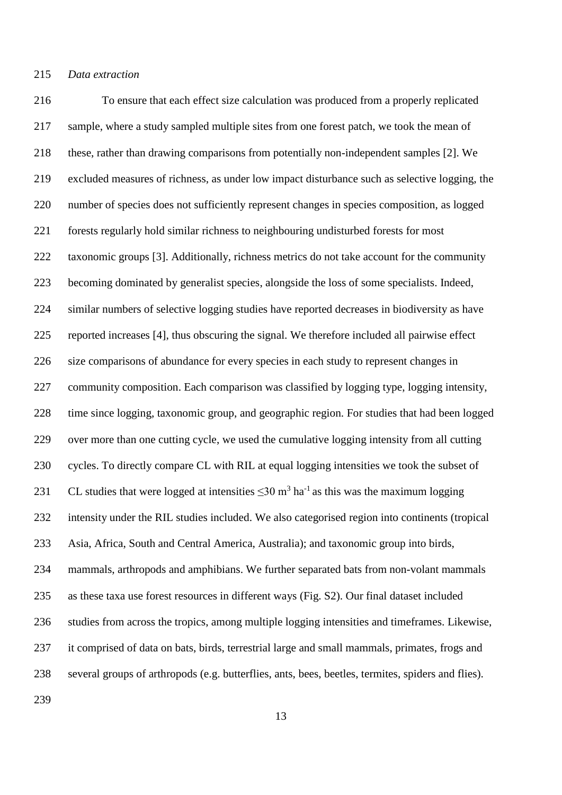To ensure that each effect size calculation was produced from a properly replicated sample, where a study sampled multiple sites from one forest patch, we took the mean of these, rather than drawing comparisons from potentially non-independent samples [2]. We excluded measures of richness, as under low impact disturbance such as selective logging, the number of species does not sufficiently represent changes in species composition, as logged forests regularly hold similar richness to neighbouring undisturbed forests for most taxonomic groups [3]. Additionally, richness metrics do not take account for the community becoming dominated by generalist species, alongside the loss of some specialists. Indeed, similar numbers of selective logging studies have reported decreases in biodiversity as have reported increases [4], thus obscuring the signal. We therefore included all pairwise effect size comparisons of abundance for every species in each study to represent changes in community composition. Each comparison was classified by logging type, logging intensity, time since logging, taxonomic group, and geographic region. For studies that had been logged over more than one cutting cycle, we used the cumulative logging intensity from all cutting cycles. To directly compare CL with RIL at equal logging intensities we took the subset of 231 CL studies that were logged at intensities  $\leq 30$  m<sup>3</sup> ha<sup>-1</sup> as this was the maximum logging intensity under the RIL studies included. We also categorised region into continents (tropical Asia, Africa, South and Central America, Australia); and taxonomic group into birds, mammals, arthropods and amphibians. We further separated bats from non-volant mammals as these taxa use forest resources in different ways (Fig. S2). Our final dataset included studies from across the tropics, among multiple logging intensities and timeframes. Likewise, it comprised of data on bats, birds, terrestrial large and small mammals, primates, frogs and several groups of arthropods (e.g. butterflies, ants, bees, beetles, termites, spiders and flies).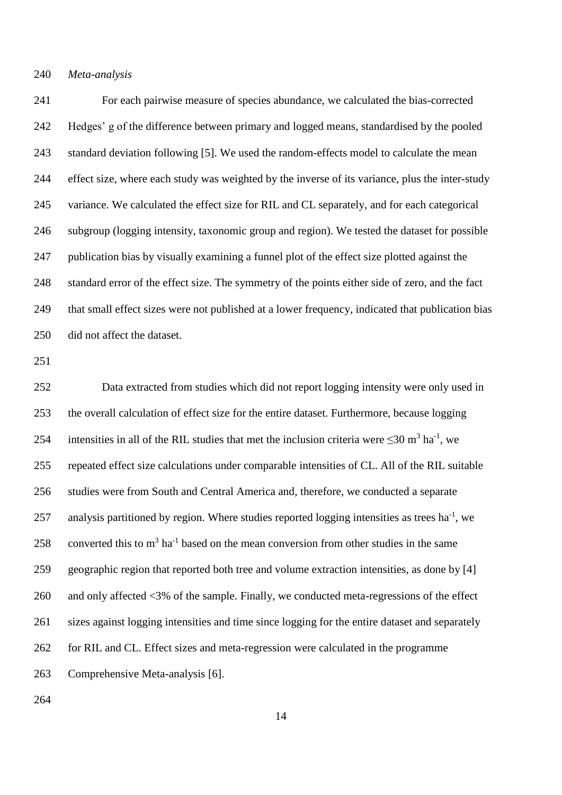For each pairwise measure of species abundance, we calculated the bias-corrected Hedges' g of the difference between primary and logged means, standardised by the pooled standard deviation following [5]. We used the random-effects model to calculate the mean effect size, where each study was weighted by the inverse of its variance, plus the inter-study variance. We calculated the effect size for RIL and CL separately, and for each categorical subgroup (logging intensity, taxonomic group and region). We tested the dataset for possible publication bias by visually examining a funnel plot of the effect size plotted against the standard error of the effect size. The symmetry of the points either side of zero, and the fact that small effect sizes were not published at a lower frequency, indicated that publication bias did not affect the dataset.

 Data extracted from studies which did not report logging intensity were only used in the overall calculation of effect size for the entire dataset. Furthermore, because logging 254 intensities in all of the RIL studies that met the inclusion criteria were  $\leq 30$  m<sup>3</sup> ha<sup>-1</sup>, we repeated effect size calculations under comparable intensities of CL. All of the RIL suitable studies were from South and Central America and, therefore, we conducted a separate 257 analysis partitioned by region. Where studies reported logging intensities as trees  $ha^{-1}$ , we 258 converted this to  $m<sup>3</sup>$  ha<sup>-1</sup> based on the mean conversion from other studies in the same geographic region that reported both tree and volume extraction intensities, as done by [4] 260 and only affected <3% of the sample. Finally, we conducted meta-regressions of the effect sizes against logging intensities and time since logging for the entire dataset and separately for RIL and CL. Effect sizes and meta-regression were calculated in the programme Comprehensive Meta-analysis [6].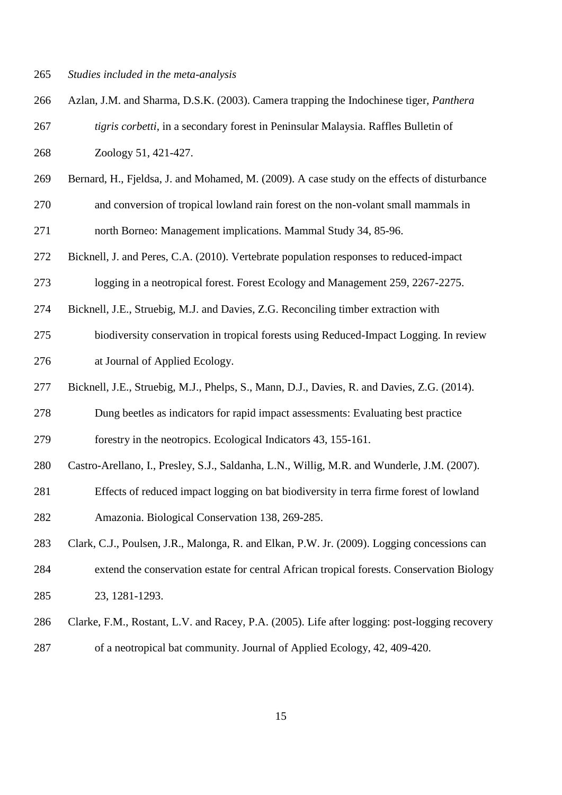- *Studies included in the meta-analysis*
- Azlan, J.M. and Sharma, D.S.K. (2003). Camera trapping the Indochinese tiger, *Panthera tigris corbetti*, in a secondary forest in Peninsular Malaysia. Raffles Bulletin of Zoology 51, 421-427.
- Bernard, H., Fjeldsa, J. and Mohamed, M. (2009). A case study on the effects of disturbance and conversion of tropical lowland rain forest on the non-volant small mammals in

north Borneo: Management implications. Mammal Study 34, 85-96.

 Bicknell, J. and Peres, C.A. (2010). Vertebrate population responses to reduced-impact logging in a neotropical forest. Forest Ecology and Management 259, 2267-2275.

Bicknell, J.E., Struebig, M.J. and Davies, Z.G. Reconciling timber extraction with

 biodiversity conservation in tropical forests using Reduced-Impact Logging. In review at Journal of Applied Ecology.

Bicknell, J.E., Struebig, M.J., Phelps, S., Mann, D.J., Davies, R. and Davies, Z.G. (2014).

 Dung beetles as indicators for rapid impact assessments: Evaluating best practice forestry in the neotropics. Ecological Indicators 43, 155-161.

Castro-Arellano, I., Presley, S.J., Saldanha, L.N., Willig, M.R. and Wunderle, J.M. (2007).

 Effects of reduced impact logging on bat biodiversity in terra firme forest of lowland Amazonia. Biological Conservation 138, 269-285.

Clark, C.J., Poulsen, J.R., Malonga, R. and Elkan, P.W. Jr. (2009). Logging concessions can

- extend the conservation estate for central African tropical forests. Conservation Biology 23, 1281-1293.
- Clarke, F.M., Rostant, L.V. and Racey, P.A. (2005). Life after logging: post-logging recovery of a neotropical bat community. Journal of Applied Ecology, 42, 409-420.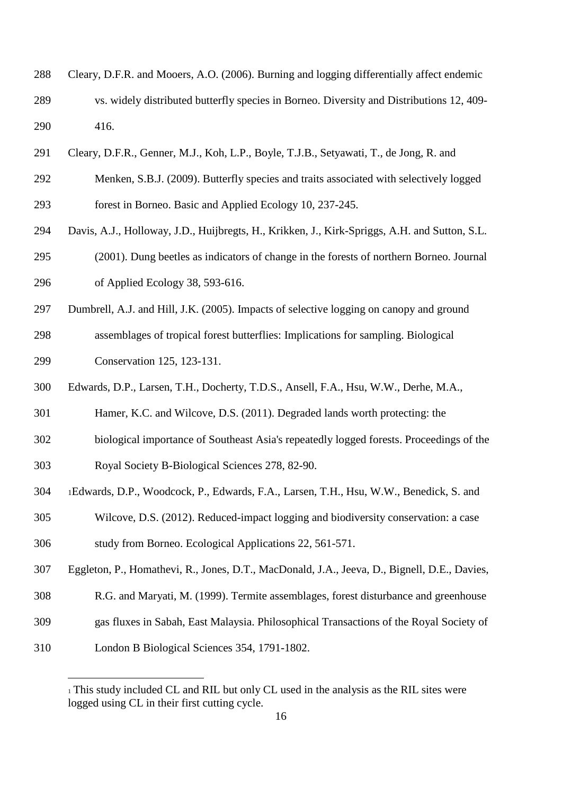- Cleary, D.F.R. and Mooers, A.O. (2006). Burning and logging differentially affect endemic vs. widely distributed butterfly species in Borneo. Diversity and Distributions 12, 409- 416.
- Cleary, D.F.R., Genner, M.J., Koh, L.P., Boyle, T.J.B., Setyawati, T., de Jong, R. and
- Menken, S.B.J. (2009). Butterfly species and traits associated with selectively logged forest in Borneo. Basic and Applied Ecology 10, 237-245.
- Davis, A.J., Holloway, J.D., Huijbregts, H., Krikken, J., Kirk-Spriggs, A.H. and Sutton, S.L.
- (2001). Dung beetles as indicators of change in the forests of northern Borneo. Journal of Applied Ecology 38, 593-616.
- Dumbrell, A.J. and Hill, J.K. (2005). Impacts of selective logging on canopy and ground
- assemblages of tropical forest butterflies: Implications for sampling. Biological Conservation 125, 123-131.
- Edwards, D.P., Larsen, T.H., Docherty, T.D.S., Ansell, F.A., Hsu, W.W., Derhe, M.A.,
- Hamer, K.C. and Wilcove, D.S. (2011). Degraded lands worth protecting: the
- biological importance of Southeast Asia's repeatedly logged forests. Proceedings of the
- Royal Society B-Biological Sciences 278, 82-90.
- <sup>1</sup>Edwards, D.P., Woodcock, P., Edwards, F.A., Larsen, T.H., Hsu, W.W., Benedick, S. and
- Wilcove, D.S. (2012). Reduced-impact logging and biodiversity conservation: a case
- study from Borneo. Ecological Applications 22, 561-571.
- Eggleton, P., Homathevi, R., Jones, D.T., MacDonald, J.A., Jeeva, D., Bignell, D.E., Davies,
- R.G. and Maryati, M. (1999). Termite assemblages, forest disturbance and greenhouse
- gas fluxes in Sabah, East Malaysia. Philosophical Transactions of the Royal Society of
- London B Biological Sciences 354, 1791-1802.

<u>.</u>

 This study included CL and RIL but only CL used in the analysis as the RIL sites were logged using CL in their first cutting cycle.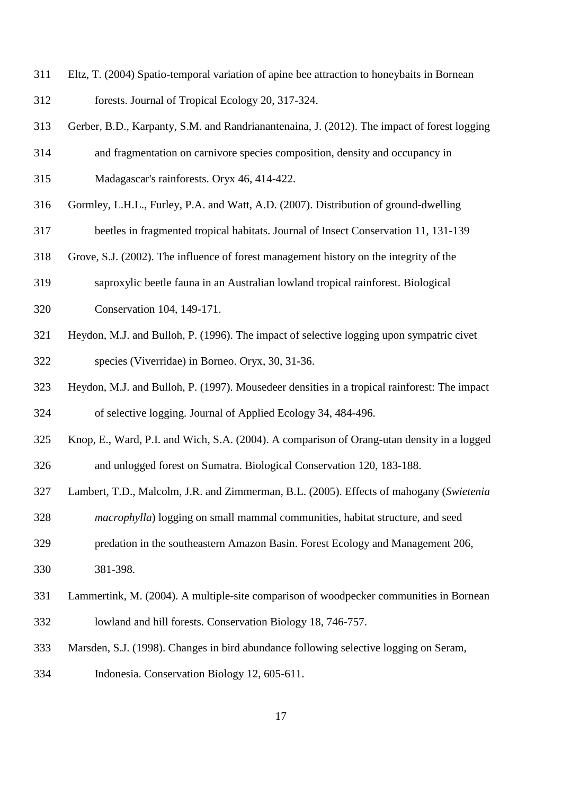- Eltz, T. (2004) Spatio-temporal variation of apine bee attraction to honeybaits in Bornean forests. Journal of Tropical Ecology 20, 317-324.
- Gerber, B.D., Karpanty, S.M. and Randrianantenaina, J. (2012). The impact of forest logging
- and fragmentation on carnivore species composition, density and occupancy in
- Madagascar's rainforests. Oryx 46, 414-422.
- Gormley, L.H.L., Furley, P.A. and Watt, A.D. (2007). Distribution of ground-dwelling
- beetles in fragmented tropical habitats. Journal of Insect Conservation 11, 131-139
- Grove, S.J. (2002). The influence of forest management history on the integrity of the
- saproxylic beetle fauna in an Australian lowland tropical rainforest. Biological Conservation 104, 149-171.
- Heydon, M.J. and Bulloh, P. (1996). The impact of selective logging upon sympatric civet species (Viverridae) in Borneo. Oryx, 30, 31-36.
- Heydon, M.J. and Bulloh, P. (1997). Mousedeer densities in a tropical rainforest: The impact of selective logging. Journal of Applied Ecology 34, 484-496.
- Knop, E., Ward, P.I. and Wich, S.A. (2004). A comparison of Orang-utan density in a logged and unlogged forest on Sumatra. Biological Conservation 120, 183-188.
- Lambert, T.D., Malcolm, J.R. and Zimmerman, B.L. (2005). Effects of mahogany (*Swietenia*
- *macrophylla*) logging on small mammal communities, habitat structure, and seed
- predation in the southeastern Amazon Basin. Forest Ecology and Management 206, 381-398.
- Lammertink, M. (2004). A multiple-site comparison of woodpecker communities in Bornean lowland and hill forests. Conservation Biology 18, 746-757.
- Marsden, S.J. (1998). Changes in bird abundance following selective logging on Seram,
- Indonesia. Conservation Biology 12, 605-611.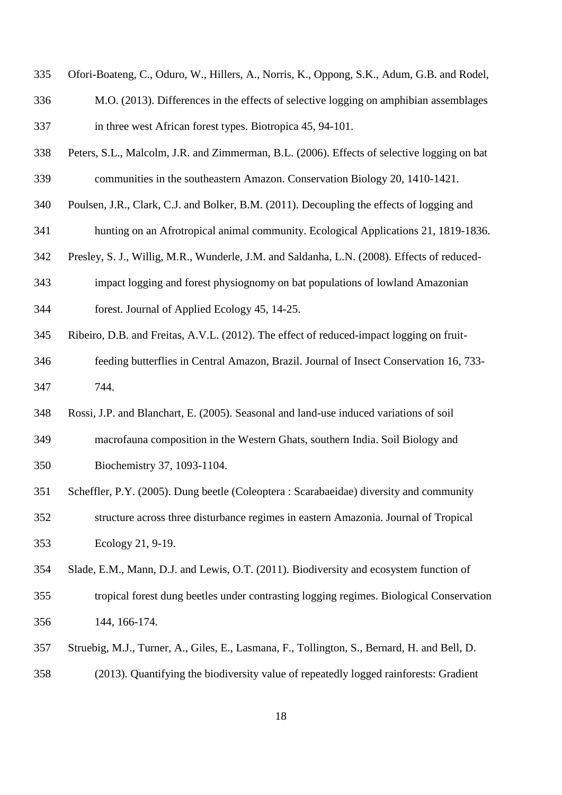- Ofori-Boateng, C., Oduro, W., Hillers, A., Norris, K., Oppong, S.K., Adum, G.B. and Rodel,
- M.O. (2013). Differences in the effects of selective logging on amphibian assemblages in three west African forest types. Biotropica 45, 94-101.
- Peters, S.L., Malcolm, J.R. and Zimmerman, B.L. (2006). Effects of selective logging on bat communities in the southeastern Amazon. Conservation Biology 20, 1410-1421.
- Poulsen, J.R., Clark, C.J. and Bolker, B.M. (2011). Decoupling the effects of logging and
- hunting on an Afrotropical animal community. Ecological Applications 21, 1819-1836.
- Presley, S. J., Willig, M.R., Wunderle, J.M. and Saldanha, L.N. (2008). Effects of reduced-
- impact logging and forest physiognomy on bat populations of lowland Amazonian forest. Journal of Applied Ecology 45, 14-25.
- Ribeiro, D.B. and Freitas, A.V.L. (2012). The effect of reduced-impact logging on fruit-
- feeding butterflies in Central Amazon, Brazil. Journal of Insect Conservation 16, 733- 744.
- Rossi, J.P. and Blanchart, E. (2005). Seasonal and land-use induced variations of soil macrofauna composition in the Western Ghats, southern India. Soil Biology and Biochemistry 37, 1093-1104.
- Scheffler, P.Y. (2005). Dung beetle (Coleoptera : Scarabaeidae) diversity and community structure across three disturbance regimes in eastern Amazonia. Journal of Tropical Ecology 21, 9-19.
- Slade, E.M., Mann, D.J. and Lewis, O.T. (2011). Biodiversity and ecosystem function of tropical forest dung beetles under contrasting logging regimes. Biological Conservation 144, 166-174.
- Struebig, M.J., Turner, A., Giles, E., Lasmana, F., Tollington, S., Bernard, H. and Bell, D. (2013). Quantifying the biodiversity value of repeatedly logged rainforests: Gradient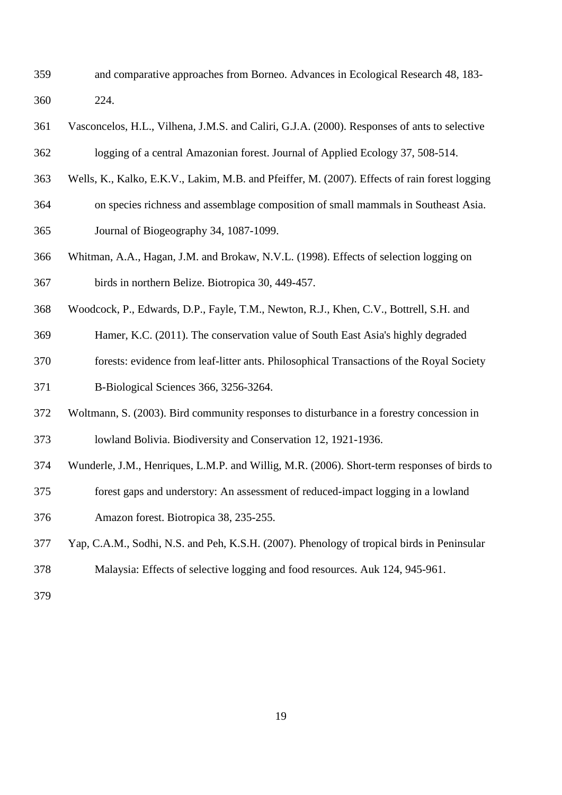- and comparative approaches from Borneo. Advances in Ecological Research 48, 183- 224.
- Vasconcelos, H.L., Vilhena, J.M.S. and Caliri, G.J.A. (2000). Responses of ants to selective logging of a central Amazonian forest. Journal of Applied Ecology 37, 508-514.
- Wells, K., Kalko, E.K.V., Lakim, M.B. and Pfeiffer, M. (2007). Effects of rain forest logging
- on species richness and assemblage composition of small mammals in Southeast Asia.
- Journal of Biogeography 34, 1087-1099.
- Whitman, A.A., Hagan, J.M. and Brokaw, N.V.L. (1998). Effects of selection logging on birds in northern Belize. Biotropica 30, 449-457.
- Woodcock, P., Edwards, D.P., Fayle, T.M., Newton, R.J., Khen, C.V., Bottrell, S.H. and
- Hamer, K.C. (2011). The conservation value of South East Asia's highly degraded
- forests: evidence from leaf-litter ants. Philosophical Transactions of the Royal Society B-Biological Sciences 366, 3256-3264.
- Woltmann, S. (2003). Bird community responses to disturbance in a forestry concession in lowland Bolivia. Biodiversity and Conservation 12, 1921-1936.
- Wunderle, J.M., Henriques, L.M.P. and Willig, M.R. (2006). Short-term responses of birds to
- forest gaps and understory: An assessment of reduced-impact logging in a lowland Amazon forest. Biotropica 38, 235-255.
- Yap, C.A.M., Sodhi, N.S. and Peh, K.S.H. (2007). Phenology of tropical birds in Peninsular
- Malaysia: Effects of selective logging and food resources. Auk 124, 945-961.
-